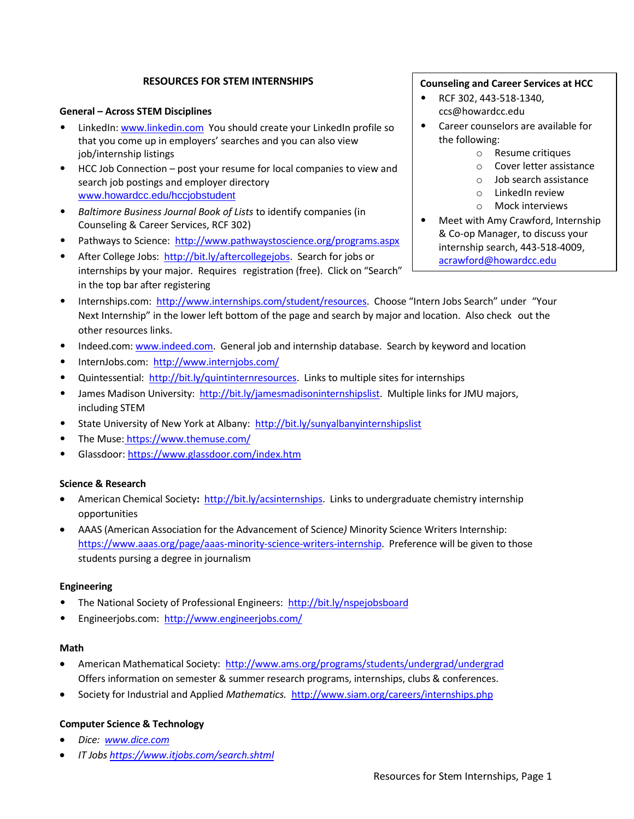# **RESOURCES FOR STEM INTERNSHIPS**

## **General – Across STEM Disciplines**

- LinkedIn: www.linkedin.com You should create your LinkedIn profile so that you come up in employers' searches and you can also view job/internship listings
- HCC Job Connection post your resume for local companies to view and search job postings and employer directory www.howardcc.edu/hccjobstudent
- *Baltimore Business Journal Book of Lists* to identify companies (in Counseling & Career Services, RCF 302)
- Pathways to Science: <http://www.pathwaystoscience.org/programs.aspx>
- After College Jobs: [http://bit.ly/aftercollegejobs.](http://bit.ly/aftercollegejobs) Search for jobs or internships by your major. Requires registration (free). Click on "Search" in the top bar after registering
- Internships.com: [http://www.internships.com/student/resources.](http://www.internships.com/student/resources) Choose "Intern Jobs Search" under "Your Next Internship" in the lower left bottom of the page and search by major and location. Also check out the other resources links.
- Indeed.com: [www.indeed.com.](http://www.indeed.com/) General job and internship database. Search by keyword and location
- InternJobs.com: http://www.internjobs.com/
- Quintessential: [http://bit.ly/quintinternresources.](http://bit.ly/quintinternresources) Links to multiple sites for internships
- James Madison University: [http://bit.ly/jamesmadisoninternshipslist.](http://bit.ly/jamesmadisoninternshipslist) Multiple links for JMU majors, including STEM
- State University of New York at Albany: <http://bit.ly/sunyalbanyinternshipslist>
- The Muse: <https://www.themuse.com/>
- Glassdoor[: https://www.glassdoor.com/index.htm](https://www.glassdoor.com/index.htm)

## **Science & Research**

- American Chemical Society**:** [http://bit.ly/acsinternships.](http://bit.ly/acsinternships) Links to undergraduate chemistry internship opportunities
- AAAS (American Association for the Advancement of Science*)* Minority Science Writers Internship: [https://www.aaas.org/page/aaas-minority-science-writers-internship.](https://www.aaas.org/page/aaas-minority-science-writers-internship) Preference will be given to those students pursing a degree in journalism

### **Engineering**

- The National Society of Professional Engineers: <http://bit.ly/nspejobsboard>
- Engineerjobs.com: <http://www.engineerjobs.com/>

## **Math**

- American Mathematical Society: <http://www.ams.org/programs/students/undergrad/undergrad> Offers information on semester & summer research programs, internships, clubs & conferences.
- Society for Industrial and Applied *Mathematics.* <http://www.siam.org/careers/internships.php>

### **Computer Science & Technology**

- *Dice: [www.dice.com](http://www.dice.com/)*
- *IT Jobs <https://www.itjobs.com/search.shtml>*

## **Counseling and Career Services at HCC**

- RCF 302, 443-518-1340, ccs@howardcc.edu
- Career counselors are available for the following:
	- o Resume critiques
	- o Cover letter assistance
	- o Job search assistance
	- o LinkedIn review
	- o Mock interviews
- Meet with Amy Crawford, Internship & Co-op Manager, to discuss your internship search, 443-518-4009, [acrawford@howardcc.edu](mailto:acrawford@howardcc.edu)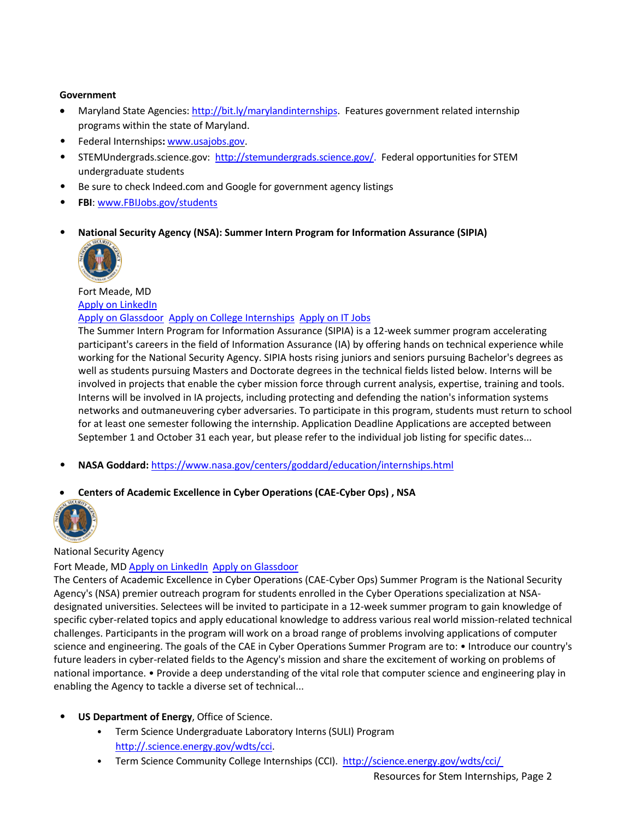# **Government**

- Maryland State Agencies: [http://bit.ly/marylandinternships.](http://bit.ly/marylandinternships) Features government related internship programs within the state of Maryland.
- Federal Internships**:** [www.usajobs.gov.](http://www.usajobs.gov/)
- STEMUndergrads.science.gov: [http://stemundergrads.science.gov/.](http://stemundergrads.science.gov/) Federal opportunities for STEM undergraduate students
- Be sure to check Indeed.com and Google for government agency listings
- **FBI**: [www.FBIJobs.gov/students](http://www.fbijobs.gov/students)
- **National Security Agency (NSA): Summer Intern Program for Information Assurance (SIPIA)**



Fort Meade, MD [Apply on LinkedIn](https://www.linkedin.com/jobs/view/summer-intern-program-for-information-assurance-sipia-at-national-security-agency-869788069?utm_campaign=google_jobs_apply&utm_source=google_jobs_apply&utm_medium=organic)

# [Apply on Glassdoor](https://www.glassdoor.com/job-listing/summer-intern-program-for-information-assurance-sipia-nsa-JV_IC1165756_KO0,53_KE54,57.htm?jl=2919064932&utm_campaign=google_jobs_apply&utm_source=google_jobs_apply&utm_medium=organic) [Apply on College Internships](https://www.bestcollegeinterns.com/job/summer-intern-program-for-information-assurance-sipia-30001045/?utm_campaign=google_jobs_apply&utm_source=google_jobs_apply&utm_medium=organic) [Apply on IT Jobs](https://itjobs.guru/en/summer-intern-program-for-information-assurance-146592?utm_campaign=google_jobs_apply&utm_source=google_jobs_apply&utm_medium=organic)

The Summer Intern Program for Information Assurance (SIPIA) is a 12-week summer program accelerating participant's careers in the field of Information Assurance (IA) by offering hands on technical experience while working for the National Security Agency. SIPIA hosts rising juniors and seniors pursuing Bachelor's degrees as well as students pursuing Masters and Doctorate degrees in the technical fields listed below. Interns will be involved in projects that enable the cyber mission force through current analysis, expertise, training and tools. Interns will be involved in IA projects, including protecting and defending the nation's information systems networks and outmaneuvering cyber adversaries. To participate in this program, students must return to school for at least one semester following the internship. Application Deadline Applications are accepted between September 1 and October 31 each year, but please refer to the individual job listing for specific dates...

- **NASA Goddard:** <https://www.nasa.gov/centers/goddard/education/internships.html>
- **Centers of Academic Excellence in Cyber Operations (CAE-Cyber Ops) , NSA**



National Security Agency

# Fort Meade, MD [Apply on LinkedIn](https://www.linkedin.com/jobs/view/centers-of-academic-excellence-in-cyber-operations-cae-cyber-ops-summer-intern-program-at-national-security-agency-845909304?utm_campaign=google_jobs_apply&utm_source=google_jobs_apply&utm_medium=organic) [Apply on Glassdoor](https://www.glassdoor.com/job-listing/centers-of-academic-excellence-in-cyber-operations-cae-cyber-ops-summer-intern-program-nsa-JV_IC1165756_KO0,86_KE87,90.htm?jl=2919057757&utm_campaign=google_jobs_apply&utm_source=google_jobs_apply&utm_medium=organic)

The Centers of Academic Excellence in Cyber Operations (CAE-Cyber Ops) Summer Program is the National Security Agency's (NSA) premier outreach program for students enrolled in the Cyber Operations specialization at NSAdesignated universities. Selectees will be invited to participate in a 12-week summer program to gain knowledge of specific cyber-related topics and apply educational knowledge to address various real world mission-related technical challenges. Participants in the program will work on a broad range of problems involving applications of computer science and engineering. The goals of the CAE in Cyber Operations Summer Program are to: • Introduce our country's future leaders in cyber-related fields to the Agency's mission and share the excitement of working on problems of national importance. • Provide a deep understanding of the vital role that computer science and engineering play in enabling the Agency to tackle a diverse set of technical...

- **US Department of Energy**, Office of Science.
	- Term Science Undergraduate Laboratory Interns (SULI) Program [http://.science.energy.gov/wdts/cci.](http://.science.energy.gov/wdts/cci)
	- Term Science Community College Internships (CCI). http://science.energy.gov/wdts/cci/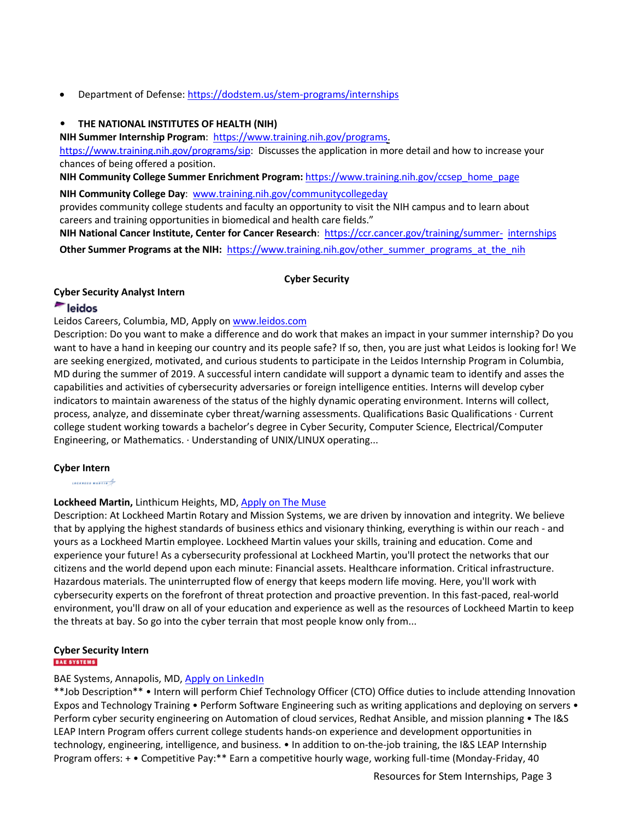Department of Defense:<https://dodstem.us/stem-programs/internships>

## • **THE NATIONAL INSTITUTES OF HEALTH (NIH)**

**NIH Summer Internship Program**: [https://www.training.nih.gov/programs.](https://www.training.nih.gov/programs)

[https://www.training.nih.gov/programs/sip:](https://www.training.nih.gov/programs/sip) Discusses the application in more detail and how to increase your chances of being offered a position.

**NIH Community College Summer Enrichment Program:** [https://www.training.nih.gov/ccsep\\_home\\_page](https://www.training.nih.gov/ccsep_home_page)

**NIH Community College Day**: [www.training.nih.gov/communitycollegeday](http://www.training.nih.gov/communitycollegeday)

provides community college students and faculty an opportunity to visit the NIH campus and to learn about careers and training opportunities in biomedical and health care fields."

**NIH National Cancer Institute, Center for Cancer Research**: [https://ccr.cancer.gov/training/summer-](https://ccr.cancer.gov/training/summer-internships) [internships](https://ccr.cancer.gov/training/summer-internships) **Other Summer Programs at the NIH:** [https://www.training.nih.gov/other\\_summer\\_programs\\_at\\_the\\_nih](https://www.training.nih.gov/other_summer_programs_at_the_nih)

### **Cyber Security**

### **Cyber Security Analyst Intern**

# eidos

Leidos Careers, Columbia, MD, Apply on [www.leidos.com](http://www.leidos.com/)

Description: Do you want to make a difference and do work that makes an impact in your summer internship? Do you want to have a hand in keeping our country and its people safe? If so, then, you are just what Leidos is looking for! We are seeking energized, motivated, and curious students to participate in the Leidos Internship Program in Columbia, MD during the summer of 2019. A successful intern candidate will support a dynamic team to identify and asses the capabilities and activities of cybersecurity adversaries or foreign intelligence entities. Interns will develop cyber indicators to maintain awareness of the status of the highly dynamic operating environment. Interns will collect, process, analyze, and disseminate cyber threat/warning assessments. Qualifications Basic Qualifications · Current college student working towards a bachelor's degree in Cyber Security, Computer Science, Electrical/Computer Engineering, or Mathematics. · Understanding of UNIX/LINUX operating...

### **Cyber Intern**

annon come

### **Lockheed Martin,** Linthicum Heights, MD, [Apply on The Muse](https://www.themuse.com/jobs/lockheedmartin/cyber-intern?utm_campaign=google_jobs_apply&utm_source=google_jobs_apply&utm_medium=organic)

Description: At Lockheed Martin Rotary and Mission Systems, we are driven by innovation and integrity. We believe that by applying the highest standards of business ethics and visionary thinking, everything is within our reach - and yours as a Lockheed Martin employee. Lockheed Martin values your skills, training and education. Come and experience your future! As a cybersecurity professional at Lockheed Martin, you'll protect the networks that our citizens and the world depend upon each minute: Financial assets. Healthcare information. Critical infrastructure. Hazardous materials. The uninterrupted flow of energy that keeps modern life moving. Here, you'll work with cybersecurity experts on the forefront of threat protection and proactive prevention. In this fast-paced, real-world environment, you'll draw on all of your education and experience as well as the resources of Lockheed Martin to keep the threats at bay. So go into the cyber terrain that most people know only from...

# **Cyber Security Intern**

### BAE Systems, Annapolis, MD[, Apply on LinkedIn](https://www.linkedin.com/jobs/view/cyber-security-intern-at-bae-systems-881924043?utm_campaign=google_jobs_apply&utm_source=google_jobs_apply&utm_medium=organic)

\*\*Job Description\*\* • Intern will perform Chief Technology Officer (CTO) Office duties to include attending Innovation Expos and Technology Training • Perform Software Engineering such as writing applications and deploying on servers • Perform cyber security engineering on Automation of cloud services, Redhat Ansible, and mission planning • The I&S LEAP Intern Program offers current college students hands-on experience and development opportunities in technology, engineering, intelligence, and business. • In addition to on-the-job training, the I&S LEAP Internship Program offers: + • Competitive Pay:\*\* Earn a competitive hourly wage, working full-time (Monday-Friday, 40